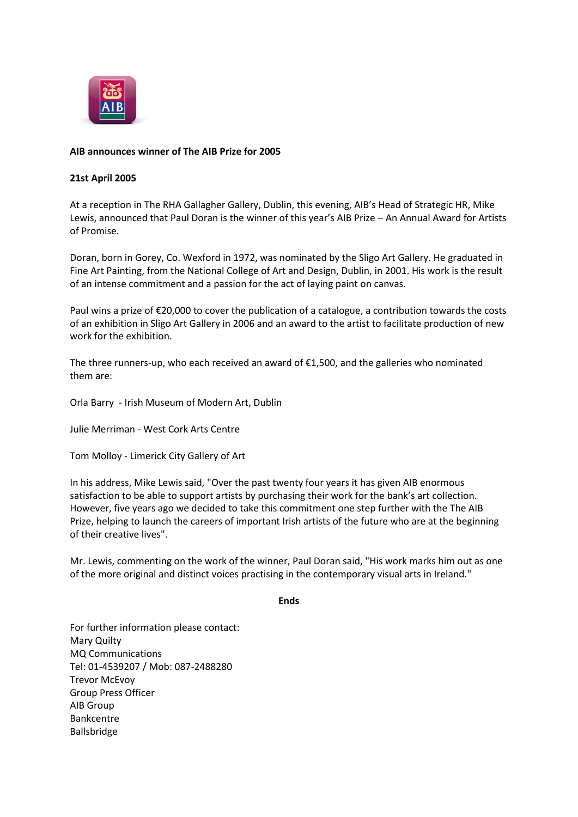

## **AIB announces winner of The AIB Prize for 2005**

## **21st April 2005**

At a reception in The RHA Gallagher Gallery, Dublin, this evening, AIB's Head of Strategic HR, Mike Lewis, announced that Paul Doran is the winner of this year's AIB Prize – An Annual Award for Artists of Promise.

Doran, born in Gorey, Co. Wexford in 1972, was nominated by the Sligo Art Gallery. He graduated in Fine Art Painting, from the National College of Art and Design, Dublin, in 2001. His work is the result of an intense commitment and a passion for the act of laying paint on canvas.

Paul wins a prize of  $\epsilon$ 20,000 to cover the publication of a catalogue, a contribution towards the costs of an exhibition in Sligo Art Gallery in 2006 and an award to the artist to facilitate production of new work for the exhibition.

The three runners-up, who each received an award of €1,500, and the galleries who nominated them are:

Orla Barry - Irish Museum of Modern Art, Dublin

Julie Merriman - West Cork Arts Centre

Tom Molloy - Limerick City Gallery of Art

In his address, Mike Lewis said, "Over the past twenty four years it has given AIB enormous satisfaction to be able to support artists by purchasing their work for the bank's art collection. However, five years ago we decided to take this commitment one step further with the The AIB Prize, helping to launch the careers of important Irish artists of the future who are at the beginning of their creative lives".

Mr. Lewis, commenting on the work of the winner, Paul Doran said, "His work marks him out as one of the more original and distinct voices practising in the contemporary visual arts in Ireland."

## **Ends**

For further information please contact: Mary Quilty MQ Communications Tel: 01-4539207 / Mob: 087-2488280 Trevor McEvoy Group Press Officer AIB Group Bankcentre Ballsbridge